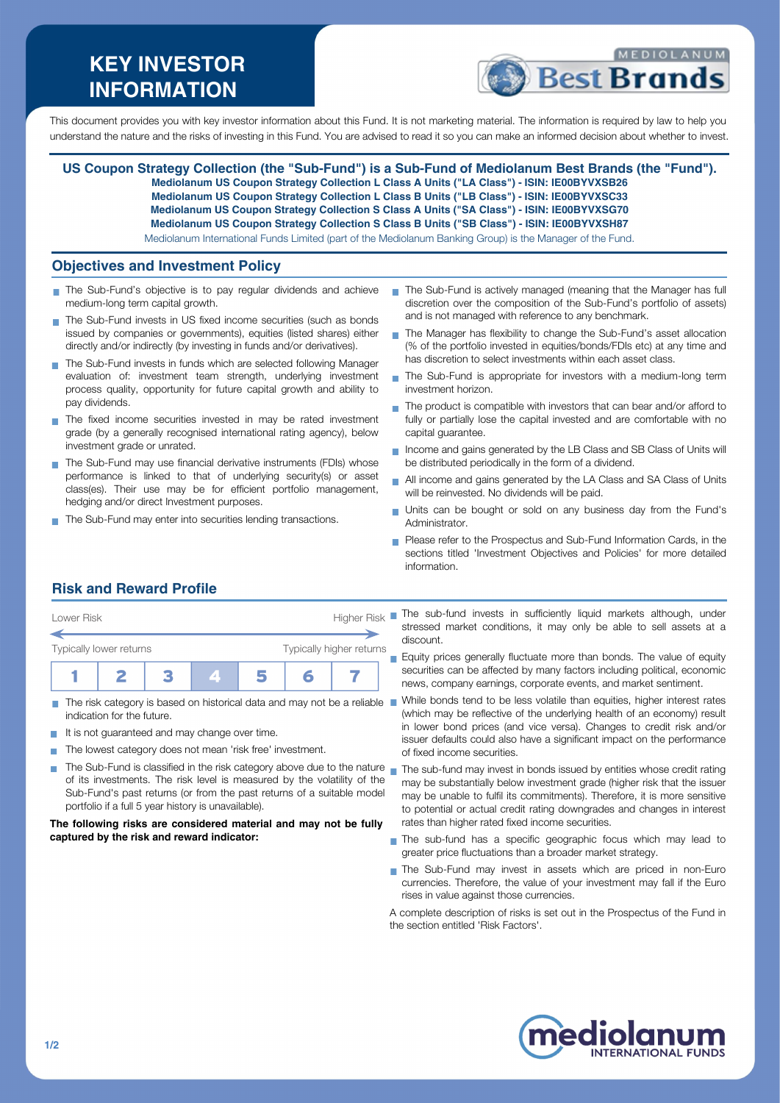# **KEY INVESTOR INFORMATION**



This document provides you with key investor information about this Fund. It is not marketing material. The information is required by law to help you understand the nature and the risks of investing in this Fund. You are advised to read it so you can make an informed decision about whether to invest.

**US Coupon Strategy Collection (the "Sub-Fund") is a Sub-Fund of Mediolanum Best Brands (the "Fund"). Mediolanum US Coupon Strategy Collection L Class A Units ("LA Class") - ISIN: IE00BYVXSB26 Mediolanum US Coupon Strategy Collection L Class B Units ("LB Class") - ISIN: IE00BYVXSC33 Mediolanum US Coupon Strategy Collection S Class A Units ("SA Class") - ISIN: IE00BYVXSG70 Mediolanum US Coupon Strategy Collection S Class B Units ("SB Class") - ISIN: IE00BYVXSH87** Mediolanum International Funds Limited (part of the Mediolanum Banking Group) is the Manager of the Fund.

### **Objectives and Investment Policy**

- The Sub-Fund's objective is to pay regular dividends and achieve medium-long term capital growth.
- The Sub-Fund invests in US fixed income securities (such as bonds issued by companies or governments), equities (listed shares) either directly and/or indirectly (by investing in funds and/or derivatives).
- The Sub-Fund invests in funds which are selected following Manager evaluation of: investment team strength, underlying investment process quality, opportunity for future capital growth and ability to pay dividends.
- The fixed income securities invested in may be rated investment grade (by a generally recognised international rating agency), below investment grade or unrated.
- The Sub-Fund may use financial derivative instruments (FDIs) whose performance is linked to that of underlying security(s) or asset class(es). Their use may be for efficient portfolio management, hedging and/or direct Investment purposes.
- The Sub-Fund may enter into securities lending transactions.
- The Sub-Fund is actively managed (meaning that the Manager has full discretion over the composition of the Sub-Fund's portfolio of assets) and is not managed with reference to any benchmark.
- The Manager has flexibility to change the Sub-Fund's asset allocation (% of the portfolio invested in equities/bonds/FDIs etc) at any time and has discretion to select investments within each asset class.
- The Sub-Fund is appropriate for investors with a medium-long term  $\mathbf{r}$ investment horizon.
- $\blacksquare$  The product is compatible with investors that can bear and/or afford to fully or partially lose the capital invested and are comfortable with no capital guarantee.
- Income and gains generated by the LB Class and SB Class of Units will be distributed periodically in the form of a dividend.
- All income and gains generated by the LA Class and SA Class of Units  $\overline{\phantom{a}}$ will be reinvested. No dividends will be paid.
- Units can be bought or sold on any business day from the Fund's Administrator.
- Please refer to the Prospectus and Sub-Fund Information Cards, in the sections titled 'Investment Objectives and Policies' for more detailed information.

# **Risk and Reward Profile**



- The risk category is based on historical data and may not be a reliable  $\blacksquare$ m. indication for the future.
- It is not guaranteed and may change over time.  $\sim$
- The lowest category does not mean 'risk free' investment. **T**
- of its investments. The risk level is measured by the volatility of the Sub-Fund's past returns (or from the past returns of a suitable model portfolio if a full 5 year history is unavailable).

#### **The following risks are considered material and may not be fully captured by the risk and reward indicator:**

stressed market conditions, it may only be able to sell assets at a discount.

Equity prices generally fluctuate more than bonds. The value of equity securities can be affected by many factors including political, economic news, company earnings, corporate events, and market sentiment.

While bonds tend to be less volatile than equities, higher interest rates (which may be reflective of the underlying health of an economy) result in lower bond prices (and vice versa). Changes to credit risk and/or issuer defaults could also have a significant impact on the performance of fixed income securities.

- The Sub-Fund is classified in the risk category above due to the nature  $_\blacksquare$  The sub-fund may invest in bonds issued by entities whose credit rating may be substantially below investment grade (higher risk that the issuer may be unable to fulfil its commitments). Therefore, it is more sensitive to potential or actual credit rating downgrades and changes in interest rates than higher rated fixed income securities.
	- The sub-fund has a specific geographic focus which may lead to greater price fluctuations than a broader market strategy.
	- The Sub-Fund may invest in assets which are priced in non-Euro currencies. Therefore, the value of your investment may fall if the Euro rises in value against those currencies.

A complete description of risks is set out in the Prospectus of the Fund in the section entitled 'Risk Factors'.